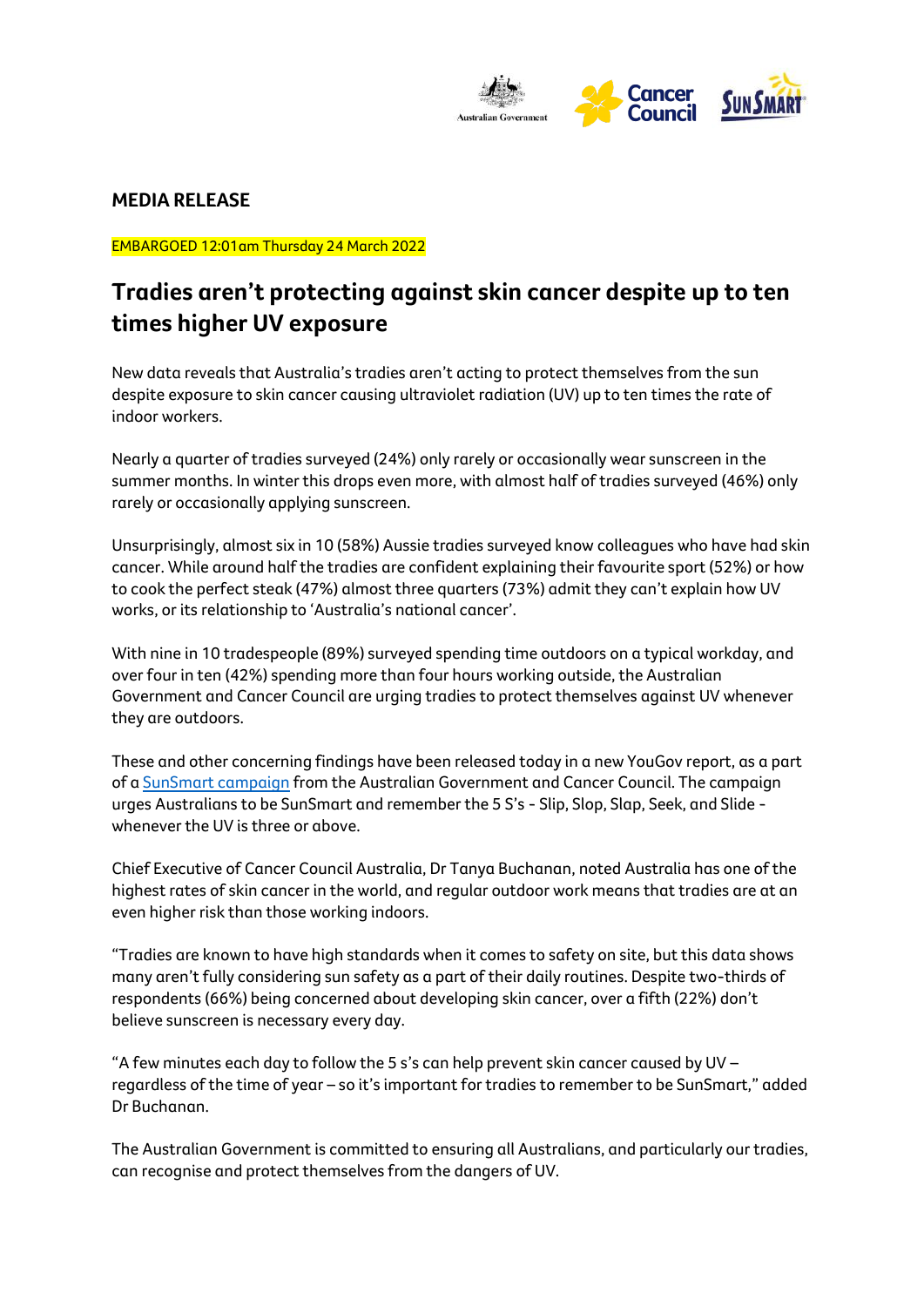

## **MEDIA RELEASE**

EMBARGOED 12:01am Thursday 24 March 2022

# **Tradies aren't protecting against skin cancer despite up to ten times higher UV exposure**

New data reveals that Australia's tradies aren't acting to protect themselves from the sun despite exposure to skin cancer causing ultraviolet radiation (UV) up to ten times the rate of indoor workers.

Nearly a quarter of tradies surveyed (24%) only rarely or occasionally wear sunscreen in the summer months. In winter this drops even more, with almost half of tradies surveyed (46%) only rarely or occasionally applying sunscreen.

Unsurprisingly, almost six in 10 (58%) Aussie tradies surveyed know colleagues who have had skin cancer. While around half the tradies are confident explaining their favourite sport (52%) or how to cook the perfect steak (47%) almost three quarters (73%) admit they can't explain how UV works, or its relationship to 'Australia's national cancer'.

With nine in 10 tradespeople (89%) surveyed spending time outdoors on a typical workday, and over four in ten (42%) spending more than four hours working outside, the Australian Government and Cancer Council are urging tradies to protect themselves against UV whenever they are outdoors.

These and other concerning findings have been released today in a new YouGov report, as a part of [a SunSmart campaign](https://www.cancer.org.au/) from the Australian Government and Cancer Council. The campaign urges Australians to be SunSmart and remember the 5 S's - Slip, Slop, Slap, Seek, and Slide whenever the UV is three or above.

Chief Executive of Cancer Council Australia, Dr Tanya Buchanan, noted Australia has one of the highest rates of skin cancer in the world, and regular outdoor work means that tradies are at an even higher risk than those working indoors.

"Tradies are known to have high standards when it comes to safety on site, but this data shows many aren't fully considering sun safety as a part of their daily routines. Despite two-thirds of respondents (66%) being concerned about developing skin cancer, over a fifth (22%) don't believe sunscreen is necessary every day.

"A few minutes each day to follow the 5 s's can help prevent skin cancer caused by UV – regardless of the time of year – so it's important for tradies to remember to be SunSmart," added Dr Buchanan.

The Australian Government is committed to ensuring all Australians, and particularly our tradies, can recognise and protect themselves from the dangers of UV.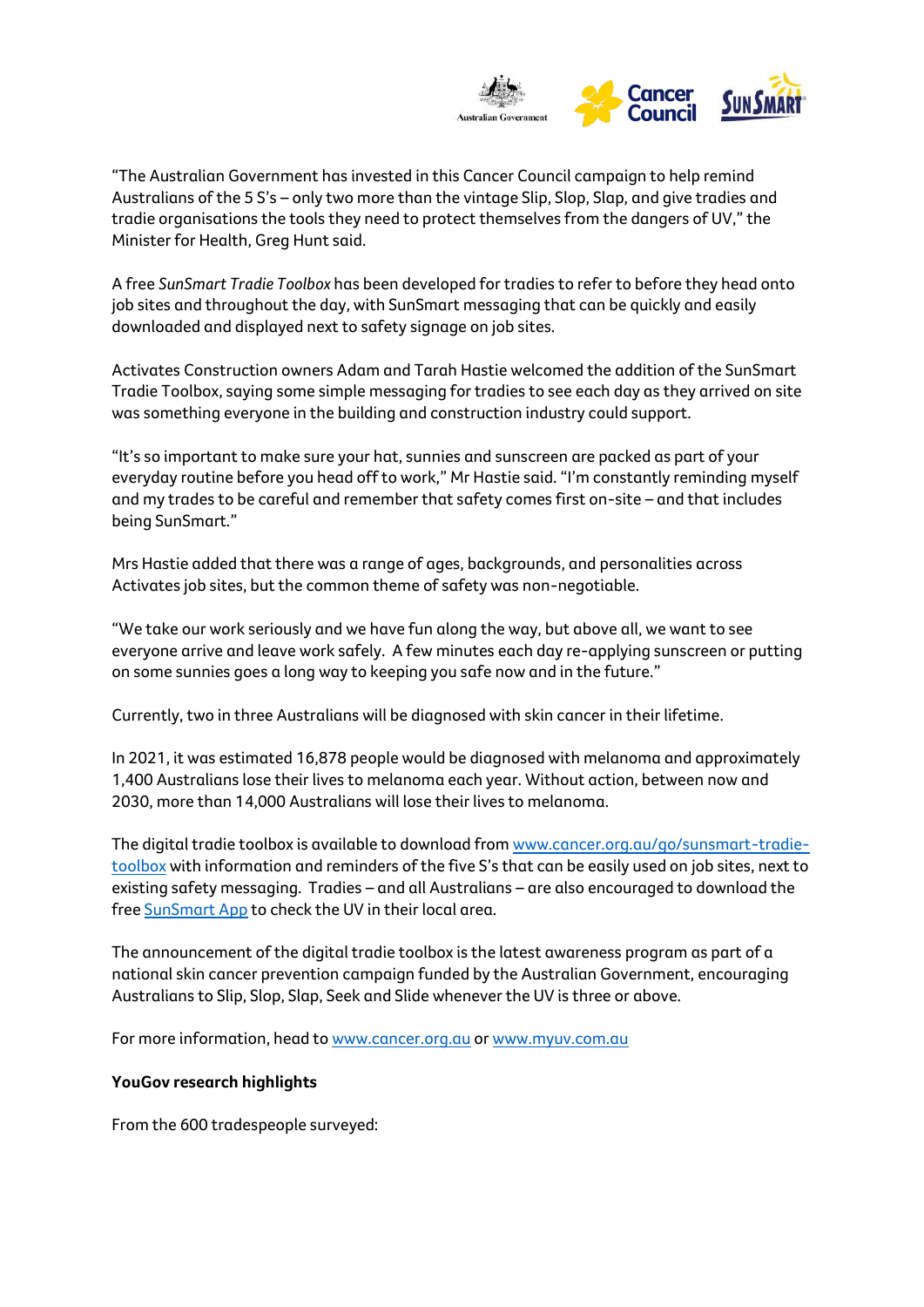

"The Australian Government has invested in this Cancer Council campaign to help remind Australians of the 5 S's – only two more than the vintage Slip, Slop, Slap, and give tradies and tradie organisations the tools they need to protect themselves from the dangers of UV," the Minister for Health, Greg Hunt said.

A free *SunSmart Tradie Toolbox* has been developed for tradies to refer to before they head onto job sites and throughout the day, with SunSmart messaging that can be quickly and easily downloaded and displayed next to safety signage on job sites.

Activates Construction owners Adam and Tarah Hastie welcomed the addition of the SunSmart Tradie Toolbox, saying some simple messaging for tradies to see each day as they arrived on site was something everyone in the building and construction industry could support.

"It's so important to make sure your hat, sunnies and sunscreen are packed as part of your everyday routine before you head off to work," Mr Hastie said. "I'm constantly reminding myself and my trades to be careful and remember that safety comes first on-site – and that includes being SunSmart."

Mrs Hastie added that there was a range of ages, backgrounds, and personalities across Activates job sites, but the common theme of safety was non-negotiable.

"We take our work seriously and we have fun along the way, but above all, we want to see everyone arrive and leave work safely. A few minutes each day re-applying sunscreen or putting on some sunnies goes a long way to keeping you safe now and in the future."

Currently, two in three Australians will be diagnosed with skin cancer in their lifetime.

In 2021, it was estimated 16,878 people would be diagnosed with melanoma and approximately 1,400 Australians lose their lives to melanoma each year. Without action, between now and 2030, more than 14,000 Australians will lose their lives to melanoma.

The digital tradie toolbox is available to download from [www.cancer.org.au/go/sunsmart-tradie](http://www.cancer.org.au/go/sunsmart-tradie-toolbox)[toolbox](http://www.cancer.org.au/go/sunsmart-tradie-toolbox) with information and reminders of the five S's that can be easily used on job sites, next to existing safety messaging. Tradies – and all Australians – are also encouraged to download the free [SunSmart App](https://www.myuv.com.au/tools-and-links/?gclid=CjwKCAiAvaGRBhBlEiwAiY-yMGhZtJ8szPfCthhXQSGohV6tSiOH9v-tuo4cUJ0O-Bri_e94XW89YxoC1WsQAvD_BwE&gclsrc=aw.ds) to check the UV in their local area.

The announcement of the digital tradie toolbox is the latest awareness program as part of a national skin cancer prevention campaign funded by the Australian Government, encouraging Australians to Slip, Slop, Slap, Seek and Slide whenever the UV is three or above.

For more information, head to [www.cancer.org.au](http://www.cancer.org.au/) o[r www.myuv.com.au](http://www.myuv.com.au/)

#### **YouGov research highlights**

From the 600 tradespeople surveyed: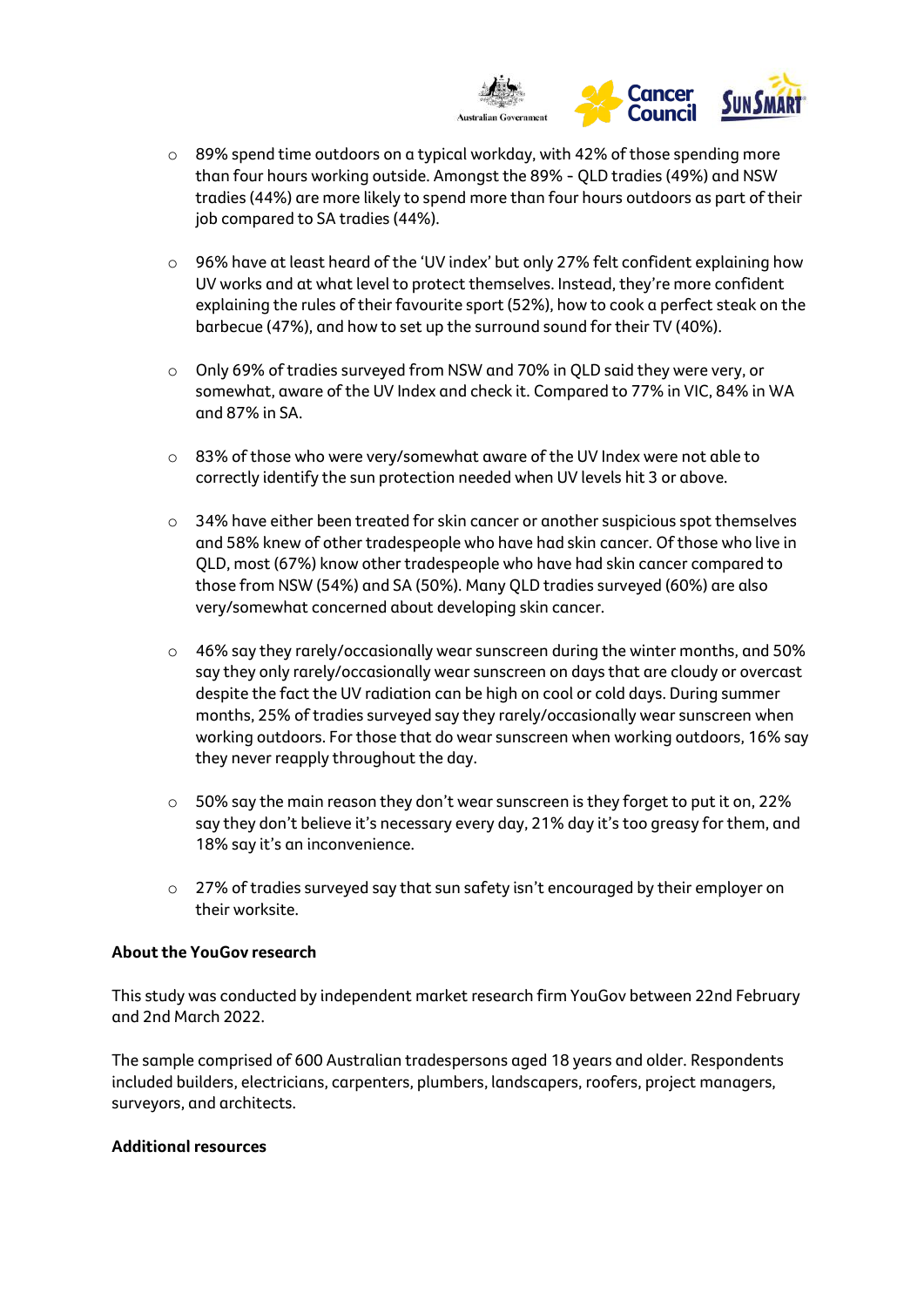

- o 89% spend time outdoors on a typical workday, with 42% of those spending more than four hours working outside. Amongst the 89% - QLD tradies (49%) and NSW tradies (44%) are more likely to spend more than four hours outdoors as part of their job compared to SA tradies (44%).
- o 96% have at least heard of the 'UV index' but only 27% felt confident explaining how UV works and at what level to protect themselves. Instead, they're more confident explaining the rules of their favourite sport (52%), how to cook a perfect steak on the barbecue (47%), and how to set up the surround sound for their TV (40%).
- o Only 69% of tradies surveyed from NSW and 70% in QLD said they were very, or somewhat, aware of the UV Index and check it. Compared to 77% in VIC, 84% in WA and 87% in SA.
- $\circ$  83% of those who were very/somewhat aware of the UV Index were not able to correctly identify the sun protection needed when UV levels hit 3 or above.
- $\circ$  34% have either been treated for skin cancer or another suspicious spot themselves and 58% knew of other tradespeople who have had skin cancer. Of those who live in QLD, most (67%) know other tradespeople who have had skin cancer compared to those from NSW (54%) and SA (50%). Many QLD tradies surveyed (60%) are also very/somewhat concerned about developing skin cancer.
- $\circ$  46% say they rarely/occasionally wear sunscreen during the winter months, and 50% say they only rarely/occasionally wear sunscreen on days that are cloudy or overcast despite the fact the UV radiation can be high on cool or cold days. During summer months, 25% of tradies surveyed say they rarely/occasionally wear sunscreen when working outdoors. For those that do wear sunscreen when working outdoors, 16% say they never reapply throughout the day.
- $\circ$  50% say the main reason they don't wear sunscreen is they forget to put it on, 22% say they don't believe it's necessary every day, 21% day it's too greasy for them, and 18% say it's an inconvenience.
- o 27% of tradies surveyed say that sun safety isn't encouraged by their employer on their worksite.

### **About the YouGov research**

This study was conducted by independent market research firm YouGov between 22nd February and 2nd March 2022.

The sample comprised of 600 Australian tradespersons aged 18 years and older. Respondents included builders, electricians, carpenters, plumbers, landscapers, roofers, project managers, surveyors, and architects.

#### **Additional resources**